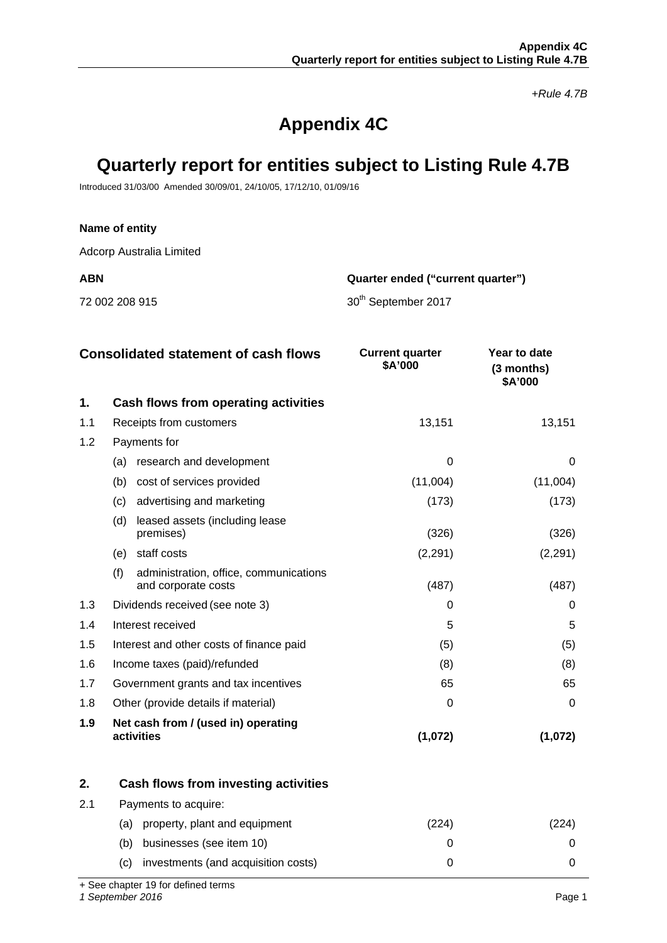*+Rule 4.7B*

# **Appendix 4C**

# **Quarterly report for entities subject to Listing Rule 4.7B**

Introduced 31/03/00 Amended 30/09/01, 24/10/05, 17/12/10, 01/09/16

### **Name of entity**

Adcorp Australia Limited

**ABN Quarter ended ("current quarter")**

72 002 208 915 **30<sup>th</sup> September 2017** 

|     | <b>Consolidated statement of cash flows</b>                          | <b>Current quarter</b><br>\$A'000 | Year to date<br>(3 months)<br>\$A'000 |
|-----|----------------------------------------------------------------------|-----------------------------------|---------------------------------------|
| 1.  | Cash flows from operating activities                                 |                                   |                                       |
| 1.1 | Receipts from customers                                              | 13,151                            | 13,151                                |
| 1.2 | Payments for                                                         |                                   |                                       |
|     | research and development<br>(a)                                      | $\Omega$                          | 0                                     |
|     | (b)<br>cost of services provided                                     | (11,004)                          | (11,004)                              |
|     | advertising and marketing<br>(c)                                     | (173)                             | (173)                                 |
|     | (d)<br>leased assets (including lease<br>premises)                   | (326)                             | (326)                                 |
|     | staff costs<br>(e)                                                   | (2, 291)                          | (2, 291)                              |
|     | (f)<br>administration, office, communications<br>and corporate costs | (487)                             | (487)                                 |
| 1.3 | Dividends received (see note 3)                                      | ∩                                 | 0                                     |
| 1.4 | Interest received                                                    | 5                                 | 5                                     |
| 1.5 | Interest and other costs of finance paid                             | (5)                               | (5)                                   |
| 1.6 | Income taxes (paid)/refunded                                         | (8)                               | (8)                                   |
| 1.7 | Government grants and tax incentives                                 | 65                                | 65                                    |
| 1.8 | Other (provide details if material)                                  | 0                                 | 0                                     |
| 1.9 | Net cash from / (used in) operating<br>activities                    | (1,072)                           | (1,072)                               |

|     | Cash flows from investing activities       |     |  |
|-----|--------------------------------------------|-----|--|
| -21 | Payments to acquire:                       |     |  |
|     | property, plant and equipment<br>(a)       | 224 |  |
|     | businesses (see item 10)<br>(b)            |     |  |
|     | investments (and acquisition costs)<br>(C) |     |  |

+ See chapter 19 for defined terms

*1 September 2016* Page 1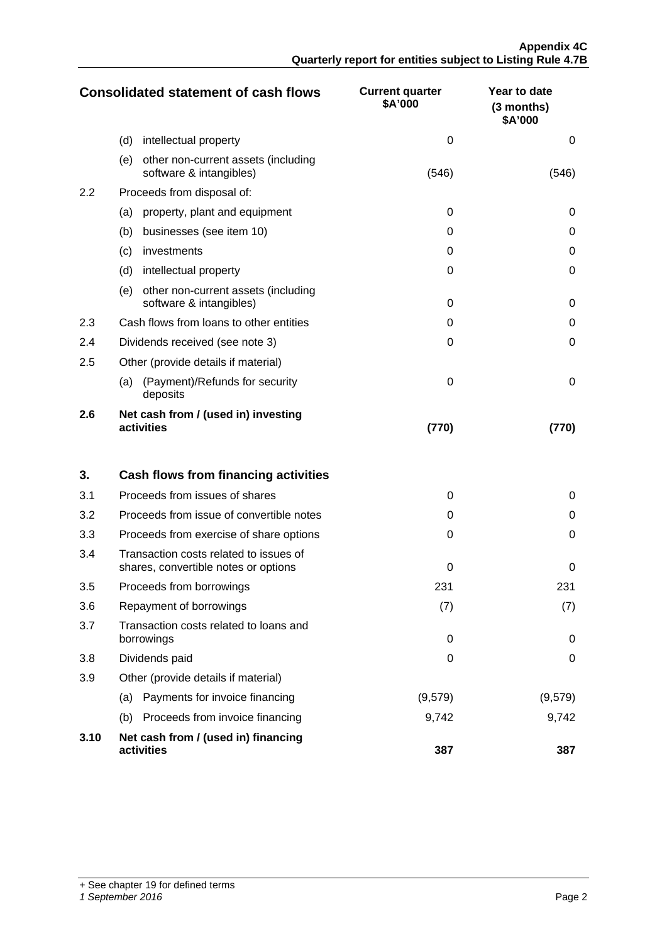|                  | <b>Consolidated statement of cash flows</b>                           | <b>Current quarter</b><br>\$A'000 | Year to date<br>$(3$ months)<br>\$A'000 |
|------------------|-----------------------------------------------------------------------|-----------------------------------|-----------------------------------------|
|                  | (d)<br>intellectual property                                          | 0                                 | 0                                       |
|                  | (e)<br>other non-current assets (including<br>software & intangibles) | (546)                             | (546)                                   |
| $2.2\phantom{0}$ | Proceeds from disposal of:                                            |                                   |                                         |
|                  | property, plant and equipment<br>(a)                                  | $\Omega$                          | 0                                       |
|                  | (b)<br>businesses (see item 10)                                       | ∩                                 | 0                                       |
|                  | investments<br>(c)                                                    | $\Omega$                          | 0                                       |
|                  | (d)<br>intellectual property                                          | $\Omega$                          | 0                                       |
|                  | other non-current assets (including<br>(e)<br>software & intangibles) | $\Omega$                          | 0                                       |
| 2.3              | Cash flows from loans to other entities                               | ∩                                 | 0                                       |
| 2.4              | Dividends received (see note 3)                                       | ∩                                 | 0                                       |
| 2.5              | Other (provide details if material)                                   |                                   |                                         |
|                  | (Payment)/Refunds for security<br>(a)<br>deposits                     | $\Omega$                          | 0                                       |
| 2.6              | Net cash from / (used in) investing<br>activities                     | (770)                             | (70)                                    |

| 3.   | Cash flows from financing activities                                           |          |         |
|------|--------------------------------------------------------------------------------|----------|---------|
| 3.1  | Proceeds from issues of shares                                                 | 0        | 0       |
| 3.2  | Proceeds from issue of convertible notes                                       | $\Omega$ | 0       |
| 3.3  | Proceeds from exercise of share options                                        | 0        | O       |
| 3.4  | Transaction costs related to issues of<br>shares, convertible notes or options | ∩        | O       |
| 3.5  | Proceeds from borrowings                                                       | 231      | 231     |
| 3.6  | Repayment of borrowings                                                        | (7)      | (7)     |
| 3.7  | Transaction costs related to loans and<br>borrowings                           | $\Omega$ | O       |
| 3.8  | Dividends paid                                                                 | ∩        | 0       |
| 3.9  | Other (provide details if material)                                            |          |         |
|      | Payments for invoice financing<br>(a)                                          | (9,579)  | (9,579) |
|      | Proceeds from invoice financing<br>(b)                                         | 9,742    | 9,742   |
| 3.10 | Net cash from / (used in) financing<br>activities                              | 387      | 387     |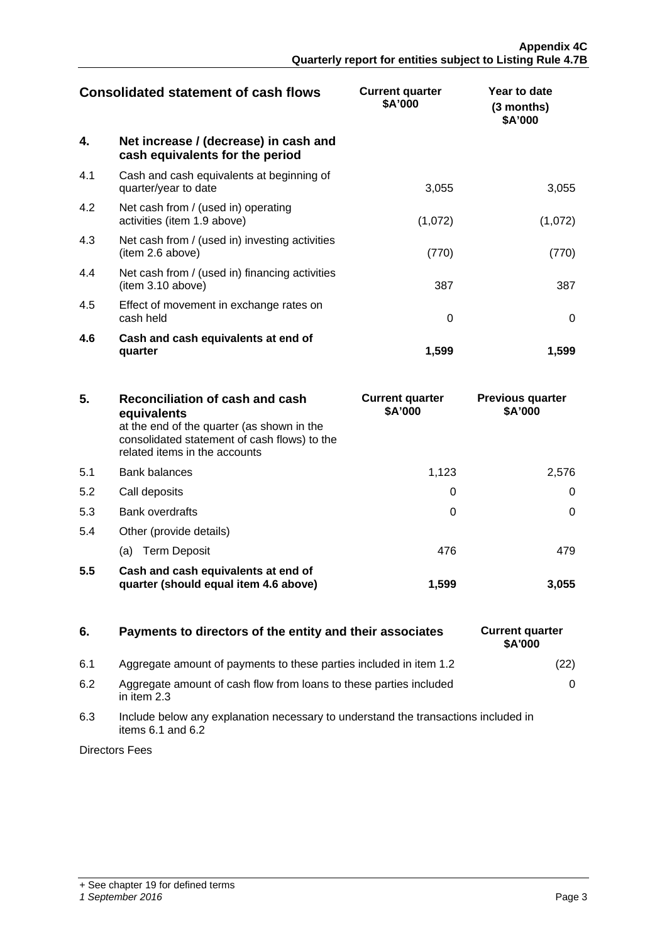| <b>Consolidated statement of cash flows</b> |                                                                          | <b>Current quarter</b><br>\$A'000 | Year to date<br>(3 months)<br>\$A'000 |
|---------------------------------------------|--------------------------------------------------------------------------|-----------------------------------|---------------------------------------|
| 4.                                          | Net increase / (decrease) in cash and<br>cash equivalents for the period |                                   |                                       |
| 4.1                                         | Cash and cash equivalents at beginning of<br>quarter/year to date        | 3,055                             | 3,055                                 |
| 4.2                                         | Net cash from / (used in) operating<br>activities (item 1.9 above)       | (1,072)                           | (1,072)                               |
| 4.3                                         | Net cash from / (used in) investing activities<br>(item 2.6 above)       | (770)                             | (770)                                 |
| 4.4                                         | Net cash from / (used in) financing activities<br>(item 3.10 above)      | 387                               | 387                                   |
| 4.5                                         | Effect of movement in exchange rates on<br>cash held                     | 0                                 | O                                     |
| 4.6                                         | Cash and cash equivalents at end of<br>quarter                           | 1,599                             | 1,599                                 |

| 5.  | Reconciliation of cash and cash<br>equivalents<br>at the end of the quarter (as shown in the<br>consolidated statement of cash flows) to the<br>related items in the accounts | <b>Current quarter</b><br>\$A'000 | <b>Previous quarter</b><br>\$A'000 |
|-----|-------------------------------------------------------------------------------------------------------------------------------------------------------------------------------|-----------------------------------|------------------------------------|
| 5.1 | <b>Bank balances</b>                                                                                                                                                          | 1.123                             | 2.576                              |
| 5.2 | Call deposits                                                                                                                                                                 |                                   |                                    |
| 5.3 | <b>Bank overdrafts</b>                                                                                                                                                        | 0                                 |                                    |
| 5.4 | Other (provide details)                                                                                                                                                       |                                   |                                    |
|     | (a) Term Deposit                                                                                                                                                              | 476                               |                                    |
| 5.5 | Cash and cash equivalents at end of<br>quarter (should equal item 4.6 above)                                                                                                  | 1.599                             | 3.055                              |

## **6.** Payments to directors of the entity and their associates

- 6.1 Aggregate amount of payments to these parties included in item 1.2
- 6.2 Aggregate amount of cash flow from loans to these parties included in item 2.3
- 6.3 Include below any explanation necessary to understand the transactions included in items  $6.1$  and  $6.2$

Directors Fees

| <b>Current quarter</b><br>\$A'000 |      |
|-----------------------------------|------|
|                                   | (22) |
|                                   | 0    |
|                                   |      |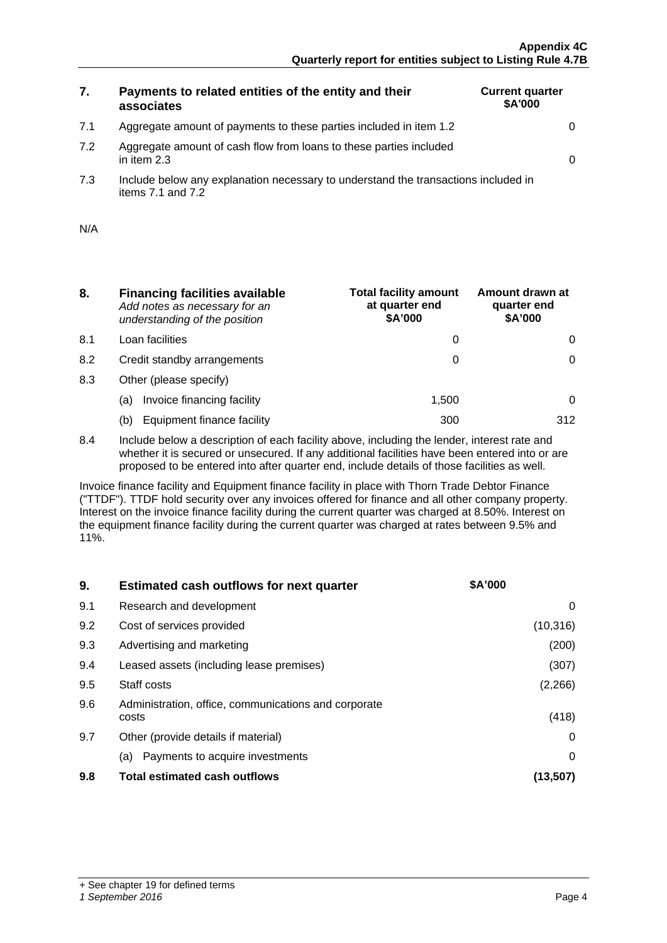# **7. Payments to related entities of the entity and their associates**

7.1 Aggregate amount of payments to these parties included in item 1.2 0

| <b>Current quarter</b><br>\$A'000 |  |
|-----------------------------------|--|
|                                   |  |
|                                   |  |

- 7.2 Aggregate amount of cash flow from loans to these parties included in item 2.3  $\qquad \qquad \qquad \vert$
- 7.3 Include below any explanation necessary to understand the transactions included in items  $7.1$  and  $7.2$

| N/A |  |
|-----|--|
|     |  |

- **8. Financing facilities available** *Add notes as necessary for an understanding of the position*
- 8.1 Loan facilities
- 8.2 Credit standby arrangements
- 8.3 Other (please specify)
	- (a) Invoice financing facility
	- (b) Equipment finance facility

| <b>Total facility amount</b><br>at quarter end<br>\$A'000 | Amount drawn at<br>quarter end<br>\$A'000 |
|-----------------------------------------------------------|-------------------------------------------|
|                                                           |                                           |
|                                                           |                                           |
|                                                           |                                           |
| 1,500                                                     |                                           |
|                                                           | 312                                       |

8.4 Include below a description of each facility above, including the lender, interest rate and whether it is secured or unsecured. If any additional facilities have been entered into or are proposed to be entered into after quarter end, include details of those facilities as well.

Invoice finance facility and Equipment finance facility in place with Thorn Trade Debtor Finance ("TTDF"). TTDF hold security over any invoices offered for finance and all other company property. Interest on the invoice finance facility during the current quarter was charged at 8.50%. Interest on the equipment finance facility during the current quarter was charged at rates between 9.5% and 11%.

| 9.  | <b>Estimated cash outflows for next quarter</b>               | <b>\$A'000</b> |
|-----|---------------------------------------------------------------|----------------|
| 9.1 | Research and development                                      |                |
| 9.2 | Cost of services provided                                     | (10, 316)      |
| 9.3 | Advertising and marketing                                     | (200)          |
| 9.4 | Leased assets (including lease premises)                      | (307)          |
| 9.5 | Staff costs                                                   | (2,266)        |
| 9.6 | Administration, office, communications and corporate<br>costs | (418)          |
| 9.7 | Other (provide details if material)                           |                |
|     | Payments to acquire investments<br>(a)                        |                |
| 9.8 | Total estimated cash outflows                                 |                |